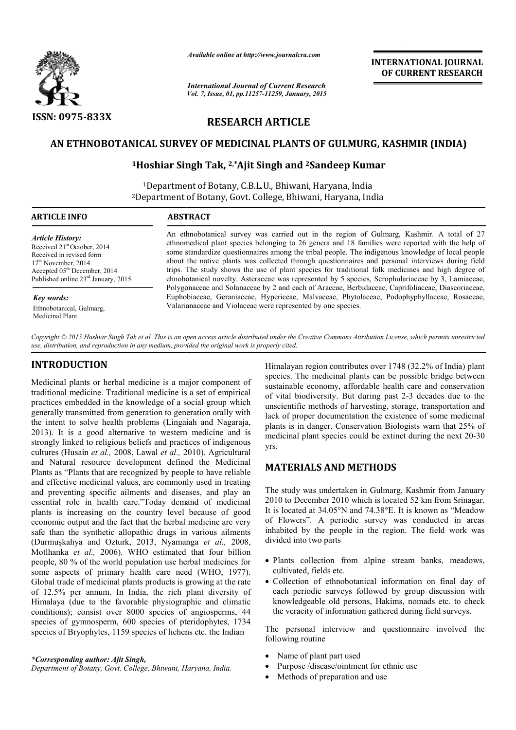

*Available online at http://www.journalcra.com*

## **RESEARCH ARTICLE**

# AN ETHNOBOTANICAL SURVEY OF MEDICINAL PLANTS OF GULMURG, KASHMIR (INDIA)<br><sup>1</sup>Hoshiar Singh Tak, <sup>2,\*</sup>Ajit Singh and <sup>2</sup>Sandeep Kumar

## **\ICAL SURVEY OF MEDICINAL PLANTS OF GULN<br><sup>1</sup>Hoshiar Singh Tak, <sup>2,\*</sup>Ajit Singh and <sup>2</sup>Sandeep**

|                                                                                                                                                                                                                                                                                                                                                                                                                                                                                                                                                                                                                                                                                                                                                                                                                                                                                                                                                                                                                                                                                                                                                                                                                                                                                                                                                                                                                                                                                                                                                                                                                                                                                                                                | лтините опине интирулттуриниисписот                                                                                                                                                                                                                                                                                                                                                                                                                                                                                                                                                                                                                                                                                    | <b>INTERNATIONAL JOURNAL</b><br>OF CURRENT RESEARCH                                                                                                                                                                                                                                                                                                                                                                                                                                                                                                                                                                                                                                                                                                                                                                                                                                                                                                                                                                                                                                                                                                                                                                                                                                                                                                                      |  |  |  |  |
|--------------------------------------------------------------------------------------------------------------------------------------------------------------------------------------------------------------------------------------------------------------------------------------------------------------------------------------------------------------------------------------------------------------------------------------------------------------------------------------------------------------------------------------------------------------------------------------------------------------------------------------------------------------------------------------------------------------------------------------------------------------------------------------------------------------------------------------------------------------------------------------------------------------------------------------------------------------------------------------------------------------------------------------------------------------------------------------------------------------------------------------------------------------------------------------------------------------------------------------------------------------------------------------------------------------------------------------------------------------------------------------------------------------------------------------------------------------------------------------------------------------------------------------------------------------------------------------------------------------------------------------------------------------------------------------------------------------------------------|------------------------------------------------------------------------------------------------------------------------------------------------------------------------------------------------------------------------------------------------------------------------------------------------------------------------------------------------------------------------------------------------------------------------------------------------------------------------------------------------------------------------------------------------------------------------------------------------------------------------------------------------------------------------------------------------------------------------|--------------------------------------------------------------------------------------------------------------------------------------------------------------------------------------------------------------------------------------------------------------------------------------------------------------------------------------------------------------------------------------------------------------------------------------------------------------------------------------------------------------------------------------------------------------------------------------------------------------------------------------------------------------------------------------------------------------------------------------------------------------------------------------------------------------------------------------------------------------------------------------------------------------------------------------------------------------------------------------------------------------------------------------------------------------------------------------------------------------------------------------------------------------------------------------------------------------------------------------------------------------------------------------------------------------------------------------------------------------------------|--|--|--|--|
|                                                                                                                                                                                                                                                                                                                                                                                                                                                                                                                                                                                                                                                                                                                                                                                                                                                                                                                                                                                                                                                                                                                                                                                                                                                                                                                                                                                                                                                                                                                                                                                                                                                                                                                                | <b>International Journal of Current Research</b><br>Vol. 7, Issue, 01, pp.11257-11259, January, 2015                                                                                                                                                                                                                                                                                                                                                                                                                                                                                                                                                                                                                   |                                                                                                                                                                                                                                                                                                                                                                                                                                                                                                                                                                                                                                                                                                                                                                                                                                                                                                                                                                                                                                                                                                                                                                                                                                                                                                                                                                          |  |  |  |  |
| ISSN: 0975-833X                                                                                                                                                                                                                                                                                                                                                                                                                                                                                                                                                                                                                                                                                                                                                                                                                                                                                                                                                                                                                                                                                                                                                                                                                                                                                                                                                                                                                                                                                                                                                                                                                                                                                                                |                                                                                                                                                                                                                                                                                                                                                                                                                                                                                                                                                                                                                                                                                                                        | <b>RESEARCH ARTICLE</b>                                                                                                                                                                                                                                                                                                                                                                                                                                                                                                                                                                                                                                                                                                                                                                                                                                                                                                                                                                                                                                                                                                                                                                                                                                                                                                                                                  |  |  |  |  |
|                                                                                                                                                                                                                                                                                                                                                                                                                                                                                                                                                                                                                                                                                                                                                                                                                                                                                                                                                                                                                                                                                                                                                                                                                                                                                                                                                                                                                                                                                                                                                                                                                                                                                                                                |                                                                                                                                                                                                                                                                                                                                                                                                                                                                                                                                                                                                                                                                                                                        | AN ETHNOBOTANICAL SURVEY OF MEDICINAL PLANTS OF GULMURG, KASHMIR (INDIA)                                                                                                                                                                                                                                                                                                                                                                                                                                                                                                                                                                                                                                                                                                                                                                                                                                                                                                                                                                                                                                                                                                                                                                                                                                                                                                 |  |  |  |  |
|                                                                                                                                                                                                                                                                                                                                                                                                                                                                                                                                                                                                                                                                                                                                                                                                                                                                                                                                                                                                                                                                                                                                                                                                                                                                                                                                                                                                                                                                                                                                                                                                                                                                                                                                |                                                                                                                                                                                                                                                                                                                                                                                                                                                                                                                                                                                                                                                                                                                        | <sup>1</sup> Hoshiar Singh Tak, <sup>2,*</sup> Ajit Singh and <sup>2</sup> Sandeep Kumar                                                                                                                                                                                                                                                                                                                                                                                                                                                                                                                                                                                                                                                                                                                                                                                                                                                                                                                                                                                                                                                                                                                                                                                                                                                                                 |  |  |  |  |
| <sup>1</sup> Department of Botany, C.B.L.U., Bhiwani, Haryana, India<br><sup>2</sup> Department of Botany, Govt. College, Bhiwani, Haryana, India                                                                                                                                                                                                                                                                                                                                                                                                                                                                                                                                                                                                                                                                                                                                                                                                                                                                                                                                                                                                                                                                                                                                                                                                                                                                                                                                                                                                                                                                                                                                                                              |                                                                                                                                                                                                                                                                                                                                                                                                                                                                                                                                                                                                                                                                                                                        |                                                                                                                                                                                                                                                                                                                                                                                                                                                                                                                                                                                                                                                                                                                                                                                                                                                                                                                                                                                                                                                                                                                                                                                                                                                                                                                                                                          |  |  |  |  |
| <b>ARTICLE INFO</b>                                                                                                                                                                                                                                                                                                                                                                                                                                                                                                                                                                                                                                                                                                                                                                                                                                                                                                                                                                                                                                                                                                                                                                                                                                                                                                                                                                                                                                                                                                                                                                                                                                                                                                            | <b>ABSTRACT</b>                                                                                                                                                                                                                                                                                                                                                                                                                                                                                                                                                                                                                                                                                                        |                                                                                                                                                                                                                                                                                                                                                                                                                                                                                                                                                                                                                                                                                                                                                                                                                                                                                                                                                                                                                                                                                                                                                                                                                                                                                                                                                                          |  |  |  |  |
| <b>Article History:</b><br>Received 21 <sup>st</sup> October, 2014<br>Received in revised form<br>17 <sup>th</sup> November, 2014<br>Accepted 05 <sup>th</sup> December, 2014<br>Published online 23 <sup>rd</sup> January, 2015                                                                                                                                                                                                                                                                                                                                                                                                                                                                                                                                                                                                                                                                                                                                                                                                                                                                                                                                                                                                                                                                                                                                                                                                                                                                                                                                                                                                                                                                                               | An ethnobotanical survey was carried out in the region of Gulmarg, Kashmir. A total of 27<br>ethnomedical plant species belonging to 26 genera and 18 families were reported with the help of<br>some standardize questionnaires among the tribal people. The indigenous knowledge of local people<br>about the native plants was collected through questionnaires and personal interviews during field<br>trips. The study shows the use of plant species for traditional folk medicines and high degree of<br>ehnobotanical novelty. Asteraceae was represented by 5 species, Scrophulariaceae by 3, Lamiaceae,<br>Polygonaceae and Solanaceae by 2 and each of Araceae, Berbidaceae, Caprifoliaceae, Diascoriaceae, |                                                                                                                                                                                                                                                                                                                                                                                                                                                                                                                                                                                                                                                                                                                                                                                                                                                                                                                                                                                                                                                                                                                                                                                                                                                                                                                                                                          |  |  |  |  |
| <b>Key words:</b><br>Ethnobotanical, Gulmarg,<br>Medicinal Plant                                                                                                                                                                                                                                                                                                                                                                                                                                                                                                                                                                                                                                                                                                                                                                                                                                                                                                                                                                                                                                                                                                                                                                                                                                                                                                                                                                                                                                                                                                                                                                                                                                                               | Euphobiaceae, Geraniaceae, Hypericeae, Malvaceae, Phytolaceae, Podophyphyllaceae, Rosaceae,<br>Valarianaceae and Violaceae were represented by one species.                                                                                                                                                                                                                                                                                                                                                                                                                                                                                                                                                            |                                                                                                                                                                                                                                                                                                                                                                                                                                                                                                                                                                                                                                                                                                                                                                                                                                                                                                                                                                                                                                                                                                                                                                                                                                                                                                                                                                          |  |  |  |  |
| use, distribution, and reproduction in any medium, provided the original work is properly cited.                                                                                                                                                                                                                                                                                                                                                                                                                                                                                                                                                                                                                                                                                                                                                                                                                                                                                                                                                                                                                                                                                                                                                                                                                                                                                                                                                                                                                                                                                                                                                                                                                               |                                                                                                                                                                                                                                                                                                                                                                                                                                                                                                                                                                                                                                                                                                                        | Copyright © 2015 Hoshiar Singh Tak et al. This is an open access article distributed under the Creative Commons Attribution License, which permits unrestricted                                                                                                                                                                                                                                                                                                                                                                                                                                                                                                                                                                                                                                                                                                                                                                                                                                                                                                                                                                                                                                                                                                                                                                                                          |  |  |  |  |
| <b>INTRODUCTION</b><br>Medicinal plants or herbal medicine is a major component of<br>traditional medicine. Traditional medicine is a set of empirical<br>practices embedded in the knowledge of a social group which<br>generally transmitted from generation to generation orally with<br>the intent to solve health problems (Lingaiah and Nagaraja,<br>2013). It is a good alternative to western medicine and is<br>strongly linked to religious beliefs and practices of indigenous<br>cultures (Husain et al., 2008, Lawal et al., 2010). Agricultural<br>and Natural resource development defined the Medicinal<br>Plants as "Plants that are recognized by people to have reliable<br>and effective medicinal values, are commonly used in treating<br>and preventing specific ailments and diseases, and play an<br>essential role in health care."Today demand of medicinal<br>plants is increasing on the country level because of good<br>economic output and the fact that the herbal medicine are very<br>safe than the synthetic allopathic drugs in various ailments<br>(Durmuşkahya and Ozturk, 2013, Nyamanga et al., 2008,<br>Motlhanka et al., 2006). WHO estimated that four billion<br>people, 80 % of the world population use herbal medicines for<br>some aspects of primary health care need (WHO, 1977).<br>Global trade of medicinal plants products is growing at the rate<br>of 12.5% per annum. In India, the rich plant diversity of<br>Himalaya (due to the favorable physiographic and climatic<br>conditions); consist over 8000 species of angiosperms, 44<br>species of gymnosperm, 600 species of pteridophytes, 1734<br>species of Bryophytes, 1159 species of lichens etc. the Indian |                                                                                                                                                                                                                                                                                                                                                                                                                                                                                                                                                                                                                                                                                                                        | Himalayan region contributes over 1748 (32.2% of India) plant<br>species. The medicinal plants can be possible bridge between<br>sustainable economy, affordable health care and conservation<br>of vital biodiversity. But during past 2-3 decades due to the<br>unscientific methods of harvesting, storage, transportation and<br>lack of proper documentation the existence of some medicinal<br>plants is in danger. Conservation Biologists warn that 25% of<br>medicinal plant species could be extinct during the next 20-30<br>yrs.<br><b>MATERIALS AND METHODS</b><br>The study was undertaken in Gulmarg, Kashmir from January<br>2010 to December 2010 which is located 52 km from Srinagar.<br>It is located at 34.05°N and 74.38°E. It is known as "Meadow<br>of Flowers". A periodic survey was conducted in areas<br>inhabited by the people in the region. The field work was<br>divided into two parts<br>• Plants collection from alpine stream banks, meadows,<br>cultivated, fields etc.<br>• Collection of ethnobotanical information on final day of<br>each periodic surveys followed by group discussion with<br>knowledgeable old persons, Hakims, nomads etc. to check<br>the veracity of information gathered during field surveys.<br>The personal interview and questionnaire involved the<br>following routine<br>Name of plant part used |  |  |  |  |
| *Corresponding author: Ajit Singh,<br>Department of Botany, Govt. College, Bhiwani, Haryana, India.                                                                                                                                                                                                                                                                                                                                                                                                                                                                                                                                                                                                                                                                                                                                                                                                                                                                                                                                                                                                                                                                                                                                                                                                                                                                                                                                                                                                                                                                                                                                                                                                                            |                                                                                                                                                                                                                                                                                                                                                                                                                                                                                                                                                                                                                                                                                                                        | Purpose /disease/ointment for ethnic use<br>Methods of preparation and use<br>$\bullet$                                                                                                                                                                                                                                                                                                                                                                                                                                                                                                                                                                                                                                                                                                                                                                                                                                                                                                                                                                                                                                                                                                                                                                                                                                                                                  |  |  |  |  |

### **INTRODUCTION**

### **MATERIALS AND METHODS METHODS**

- Plants collection from alpine stream banks, meadows, cultivated, fields etc.
- Collection of ethnobotanical information on final day of each periodic surveys followed by group discussion with knowledgeable old persons, Hakims, nomads the veracity of information gathered during field surveys.

- Name of plant part used
- Purpose /disease/ointment for ethnic use
- Methods of preparation and use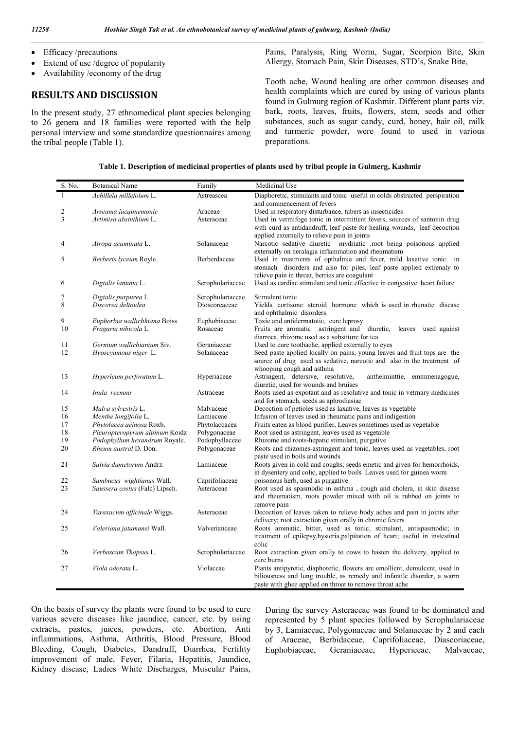- Efficacy /precautions
- Extend of use /degree of popularity
- Availability /economy of the drug

#### **RESULTS AND DISCUSSION**

In the present study, 27 ethnomedical plant species belonging to 26 genera and 18 families were reported with the help personal interview and some standardize questionnaires among the tribal people (Table 1).

Pains, Paralysis, Ring Worm, Sugar, Scorpion Bite, Skin Allergy, Stomach Pain, Skin Diseases, STD's, Snake Bite,

Tooth ache, Wound healing are other common diseases and health complaints which are cured by using of various plants found in Gulmurg region of Kashmir. Different plant parts viz. bark, roots, leaves, fruits, flowers, stem, seeds and other substances, such as sugar candy, curd, honey, hair oil, milk and turmeric powder, were found to used in various preparations.

|  | Table 1. Description of medicinal properties of plants used by tribal people in Gulmerg, Kashmir |  |  |  |
|--|--------------------------------------------------------------------------------------------------|--|--|--|
|  |                                                                                                  |  |  |  |

| S. No.   | <b>Botanical Name</b>                                  | Family                         | Medicinal Use                                                                                                                        |
|----------|--------------------------------------------------------|--------------------------------|--------------------------------------------------------------------------------------------------------------------------------------|
| 1        | Achilleia millefolum L.                                | Astreascea                     | Diaphoretic, stimulants and tonic useful in colds obstructed perspiration                                                            |
|          |                                                        |                                | and commencement of fevers                                                                                                           |
| 2        | Arseama jacqunemonic                                   | Araceae                        | Used in respiratory disturbance, tubers as insecticides                                                                              |
| 3        | Artimisa absinthium L.                                 | Asteraceae                     | Used in vermifoge tonic in intermittent fevers, sources of santonin drug                                                             |
|          |                                                        |                                | with curd as antidandruff, leaf paste for healing wounds, leaf decoction                                                             |
| 4        |                                                        | Solanaceae                     | applied externally to relieve pain in joints<br>Narcotic sedative diuretic mydriatic .root being poisonous applied                   |
|          | Atropa acuminata L.                                    |                                | externally on neralagia inflammation and rheumatism                                                                                  |
| 5        | Berberis lyceum Royle.                                 | Berberdaceae                   | Used in treatments of opthalmia and fever, mild laxative tonic in                                                                    |
|          |                                                        |                                | stomach disorders and also for piles, leaf paste applied extrenaly to                                                                |
|          |                                                        |                                | relieve pain in throat, berries are coagulant                                                                                        |
| 6        | Digtalis lantana L.                                    | Scrophulariaceae               | Used as cardiac stimulant and tonic effective in congestive heart failure                                                            |
| 7        | Digtalis purpurea L.                                   | Scrophulariaceae               | Stimulant tonic                                                                                                                      |
| 8        | Discorea deltoidea                                     | Dioscoreaceae                  | Yields cortisone steroid hormone which is used in rhunatic disease                                                                   |
|          |                                                        |                                | and ophthalmic disorders                                                                                                             |
| 9        | Euphorbia wallichhiana Boiss                           | Euphobiaceae                   | Toxic and antidermatotic, cure leprosy                                                                                               |
| 10       | Fragaria nibicola L.                                   | Rosaceae                       | Fruits are aromatic astringent and diuretic,<br>leaves<br>used against                                                               |
|          |                                                        |                                | diarroea, rhizome used as a substiture for tea                                                                                       |
| 11       | Gernium wallichianium Siv.                             | Geraniaceae                    | Used to cure toothache, applied externally to eyes                                                                                   |
| 12       | Hyoscyamous niger L.                                   | Solanaceae                     | Seed paste applied locally on pains, young leaves and fruit tops are the                                                             |
|          |                                                        |                                | source of drug used as sedative, narcotic and also in the treatment of<br>whooping cough and asthma                                  |
| 13       | Hypericum perforatum L.                                | Hyperiaceae                    | Astringent, detersive, resolutive,<br>anthelminttie, emmmenagogue,                                                                   |
|          |                                                        |                                | diuretic, used for wounds and bruises                                                                                                |
| 14       | Inula reemna                                           | Astraceae                      | Roots used as expotant and as resolutive and tonic in vetrnary medicines                                                             |
|          |                                                        |                                | and for stomach, seeds as aphrodiasiac                                                                                               |
| 15       | Malva sylvestris L.                                    | Malvaceae                      | Decoction of petioles used as laxative, leaves as vegetable                                                                          |
| 16       | Menthe longifolia L.                                   | Lamiaceae                      | Infusion of leaves used in rheumatic pains and indigestion                                                                           |
| 17       | Phytolacea acinosa Roxb.                               | Phytolaccacea                  | Fruits eaten as blood purifier, Leaves sometimes used as vegetable                                                                   |
| 18<br>19 | Pleuropteropyrum alpinum Koidz                         | Polygonaceae                   | Root used as astringent, leaves used as vegetable                                                                                    |
| 20       | Podophyllum hexandrum Royale.<br>Rheum austral D. Don. | Podophyllaceae<br>Polygonaceae | Rhizome and roots-hepatic stimulant, purgative<br>Roots and rhizomes-astringent and tonic, leaves used as vegetables, root           |
|          |                                                        |                                | paste used in boils and wounds                                                                                                       |
| 21       | Salvia dumetorum Andrz.                                | Lamiaceae                      | Roots given in cold and coughs; seeds emetic and given for hemorrhoids,                                                              |
|          |                                                        |                                | in dysentery and colic, applied to boils. Leaves used for guinea worm                                                                |
| 22       | Sambucus wightianus Wall.                              | Caprifoliaceae                 | poisonous herb, used as purgative                                                                                                    |
| 23       | Saussera costus (Falc) Lipsch.                         | Asteraceae                     | Root used as spasmodic in asthma, cough and cholera, in skin disease                                                                 |
|          |                                                        |                                | and rheumatism, roots powder mixed with oil is rubbed on joints to                                                                   |
|          |                                                        |                                | remove pain                                                                                                                          |
| 24       | Taraxacum officinale Wiggs.                            | Asteraceae                     | Decoction of leaves taken to relieve body aches and pain in joints after<br>delivery; root extraction given orally in chronic fevers |
| 25       | Valeriana jatamansi Wall.                              | Valverianceae                  | Roots aromatic, bitter, used as tonic, stimulant, antispasmodic; in                                                                  |
|          |                                                        |                                | treatment of epilepsy, hysteria, palpitation of heart; useful in instestinal                                                         |
|          |                                                        |                                | colic                                                                                                                                |
| 26       | Verbascum Thapsus L.                                   | Scrophulariaceae               | Root extraction given orally to cows to hasten the delivery, applied to                                                              |
|          |                                                        |                                | cure burns                                                                                                                           |
| 27       | Viola oderata L.                                       | Violaceae                      | Plants antipyretic, diaphoretic, flowers are emollient, demulcent, used in                                                           |
|          |                                                        |                                | biliousness and lung trouble, as remedy and infantile disorder, a warm                                                               |
|          |                                                        |                                | paste with ghee applied on throat to remove throat ache                                                                              |

On the basis of survey the plants were found to be used to cure various severe diseases like jaundice, cancer, etc. by using extracts, pastes, juices, powders, etc. Abortion, Anti inflammations, Asthma, Arthritis, Blood Pressure, Blood Bleeding, Cough, Diabetes, Dandruff, Diarrhea, Fertility improvement of male, Fever, Filaria, Hepatitis, Jaundice, Kidney disease, Ladies White Discharges, Muscular Pains,

During the survey Asteraceae was found to be dominated and represented by 5 plant species followed by Scrophulariaceae by 3, Lamiaceae, Polygonaceae and Solanaceae by 2 and each of Araceae, Berbidaceae, Caprifoliaceae, Diascoriaceae, Euphobiaceae, Geraniaceae, Hypericeae, Malvaceae,